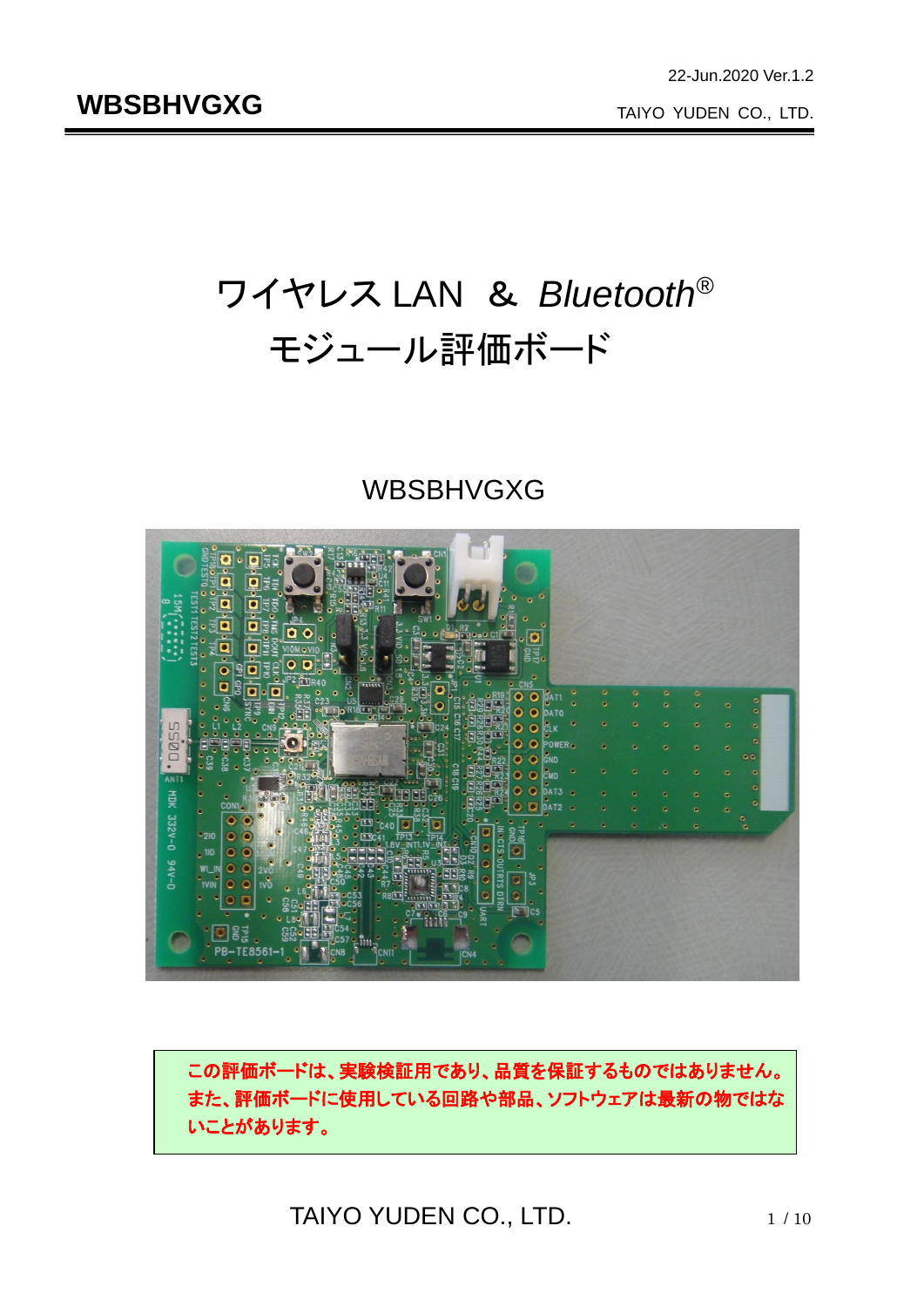# ワイヤレス LAN & *Bluetooth*® モジュール評価ボード

## WBSBHVGXG



この評価ボードは、実験検証用であり、品質を保証するものではありません。 また、評価ボードに使用している回路や部品、ソフトウェアは最新の物ではな いことがあります。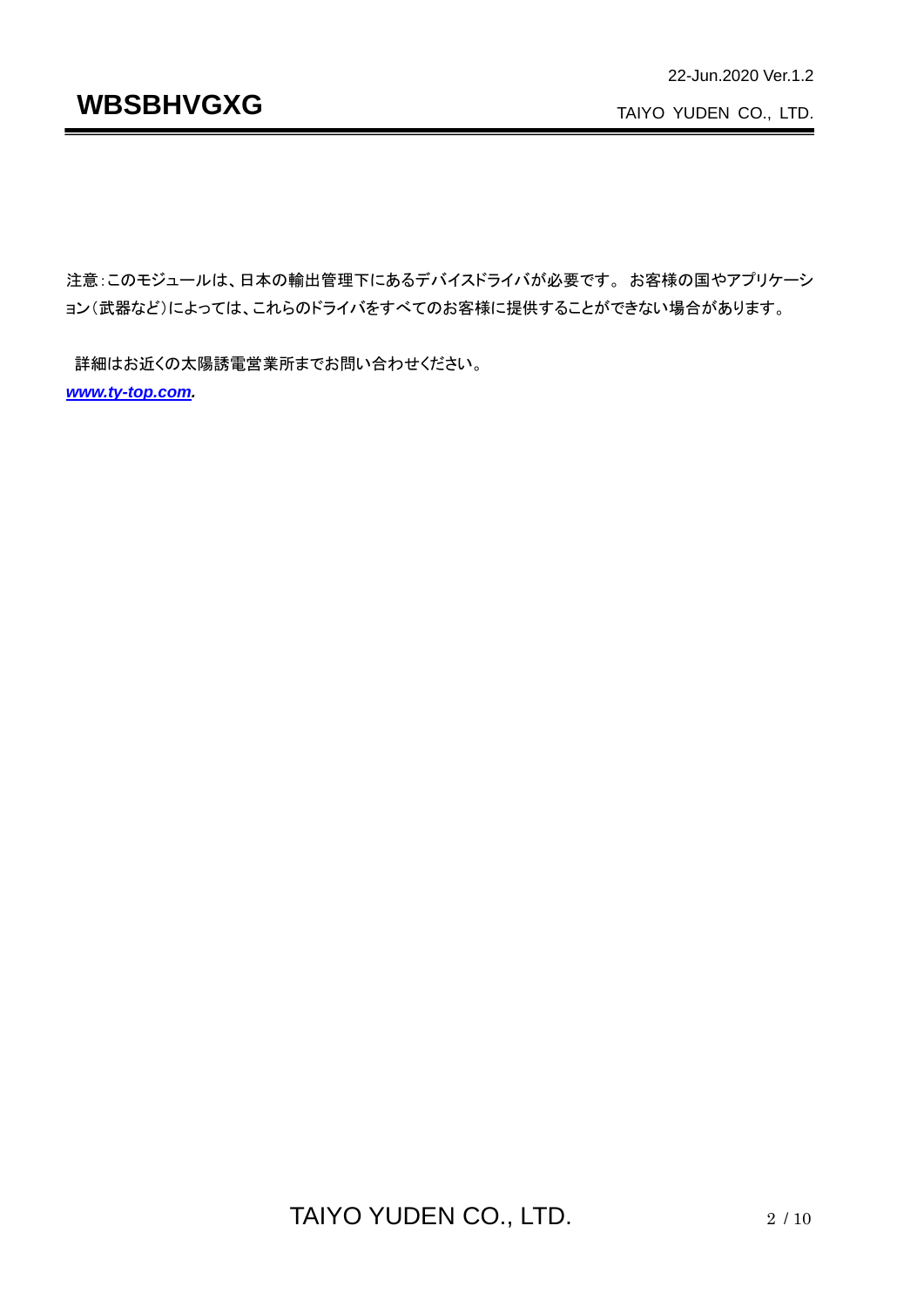TAIYO YUDEN CO., LTD.

注意:このモジュールは、日本の輸出管理下にあるデバイスドライバが必要です。 お客様の国やアプリケーシ ョン(武器など)によっては、これらのドライバをすべてのお客様に提供することができない場合があります。

詳細はお近くの太陽誘電営業所までお問い合わせください。 *[www.ty-top.com.](http://www.ty-top.com/)*

TAIYO YUDEN CO., LTD. 2/10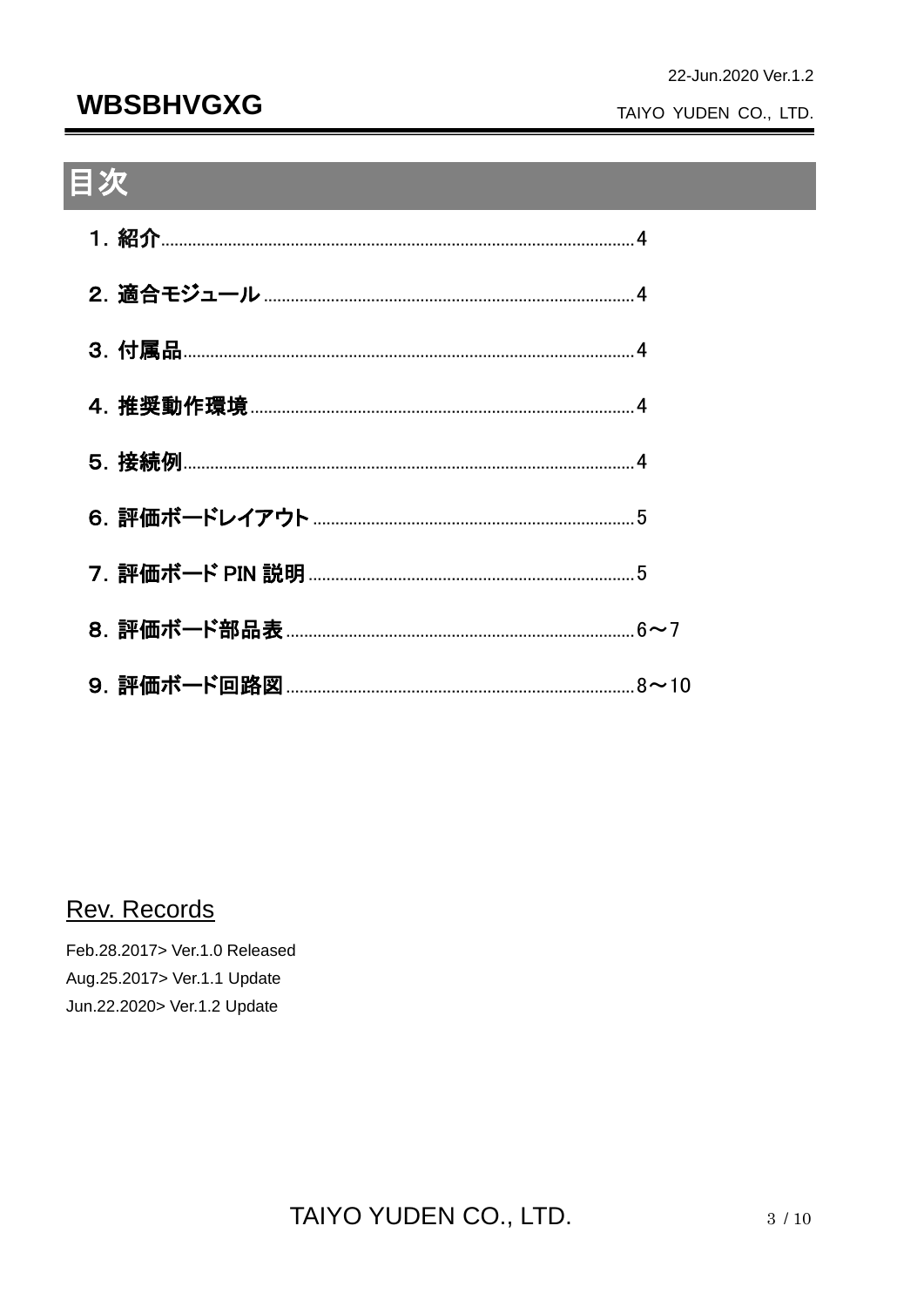## **WBSBHVGXG**

#### TAIYO YUDEN CO., LTD.

## 目次

#### Rev. Records

Feb.28.2017> Ver.1.0 Released Aug.25.2017> Ver.1.1 Update Jun.22.2020> Ver.1.2 Update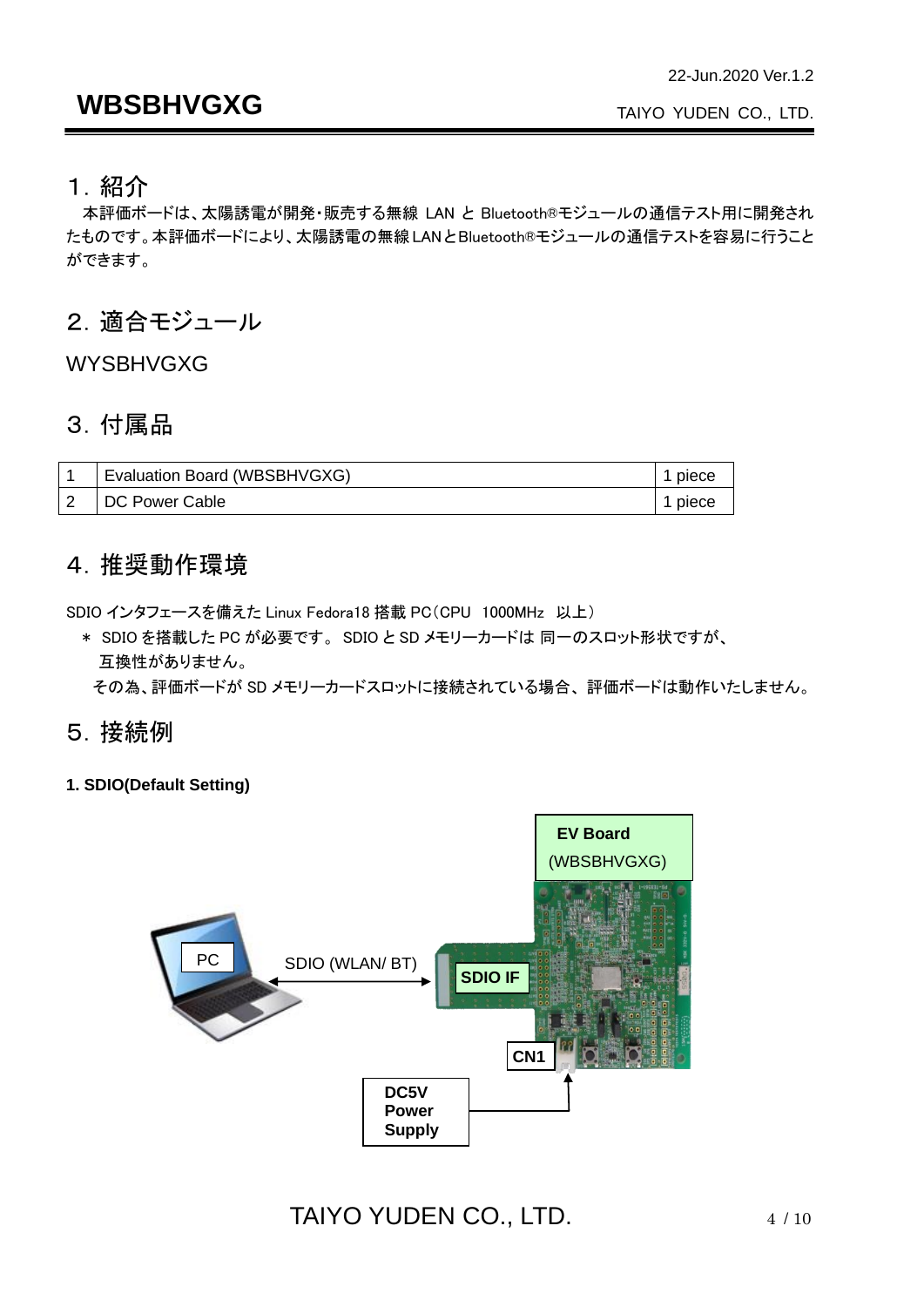### **WBSBHVGXG**

#### 1.紹介

本評価ボードは、太陽誘電が開発・販売する無線 LAN と Bluetooth®モジュールの通信テスト用に開発され たものです。本評価ボードにより、太陽誘電の無線LANとBluetooth®モジュールの通信テストを容易に行うこと ができます。

#### 2.適合モジュール

WYSBHVGXG

#### 3.付属品

| Evaluation Board (WBSBHVGXG) | piece |
|------------------------------|-------|
| I DC Power Cable             | piece |

#### 4.推奨動作環境

SDIO インタフェースを備えた Linux Fedora18 搭載 PC(CPU 1000MHz 以上)

\* SDIO を搭載した PC が必要です。 SDIO と SD メモリーカードは 同一のスロット形状ですが、 互換性がありません。

その為、評価ボードが SD メモリーカードスロットに接続されている場合、 評価ボードは動作いたしません。

#### 5.接続例

**1. SDIO(Default Setting)**

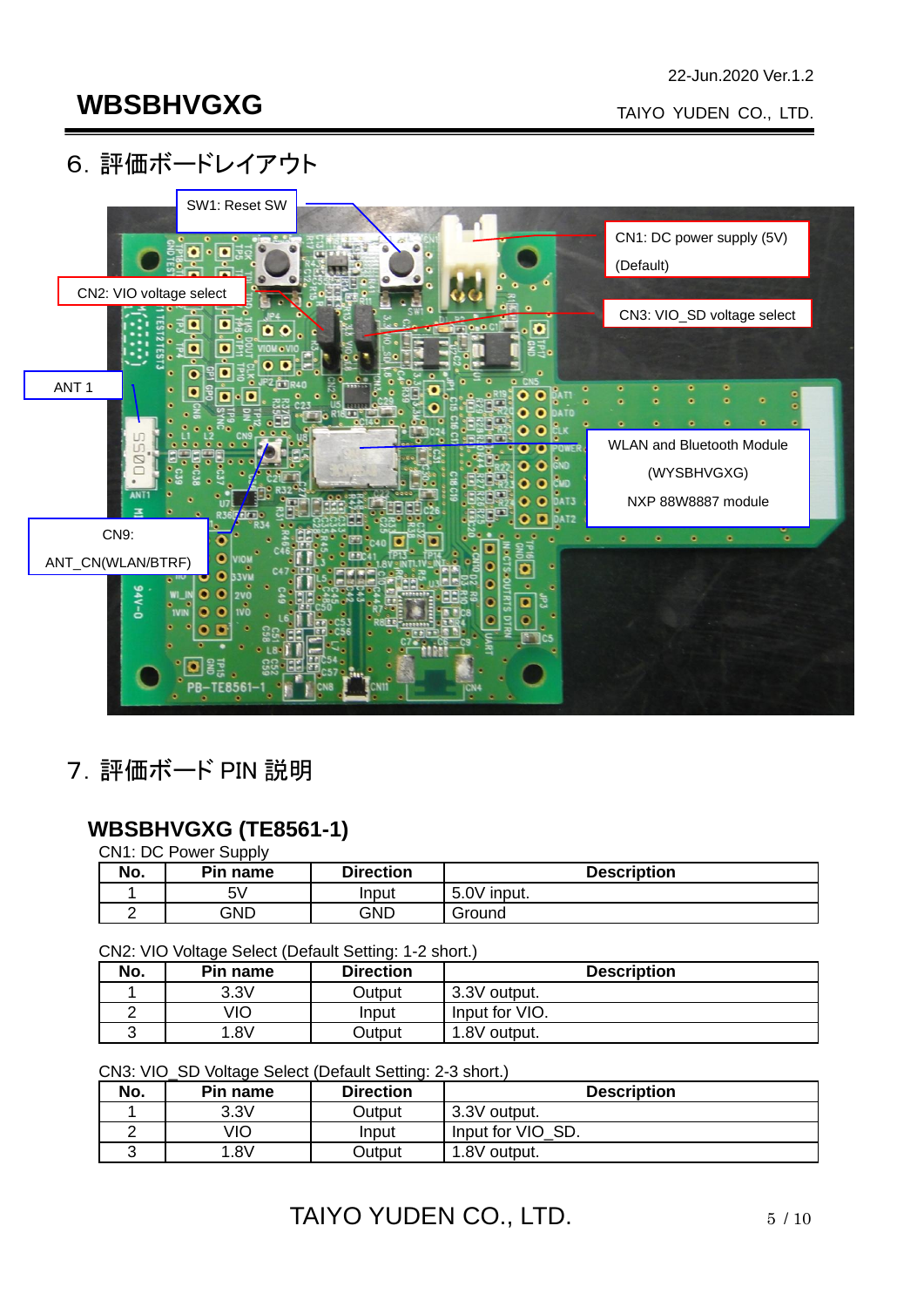#### 6.評価ボードレイアウト



7.評価ボード PIN 説明

#### **WBSBHVGXG (TE8561-1)**

CN1: DC Power Supply

| No. | Pin name | <b>Direction</b> | <b>Description</b> |
|-----|----------|------------------|--------------------|
|     | 5۷       | Input            | 5.0V input.        |
|     | GND      | GND              | Ground             |

CN2: VIO Voltage Select (Default Setting: 1-2 short.)

| No. | Pin name | <b>Direction</b> | <b>Description</b> |
|-----|----------|------------------|--------------------|
|     | 3.3V     | Output           | 3.3V output.       |
|     | √lO      | Input            | Input for VIO.     |
|     | .8V      | Output           | 1.8V output.       |

CN3: VIO\_SD Voltage Select (Default Setting: 2-3 short.)

| No. | Pin name | <b>Direction</b> | <b>Description</b> |
|-----|----------|------------------|--------------------|
|     | 3.3V     | Output           | 3.3V output.       |
|     | ∕IO      | Input            | Input for VIO SD.  |
|     | .8V      | Dutput           | 1.8V output.       |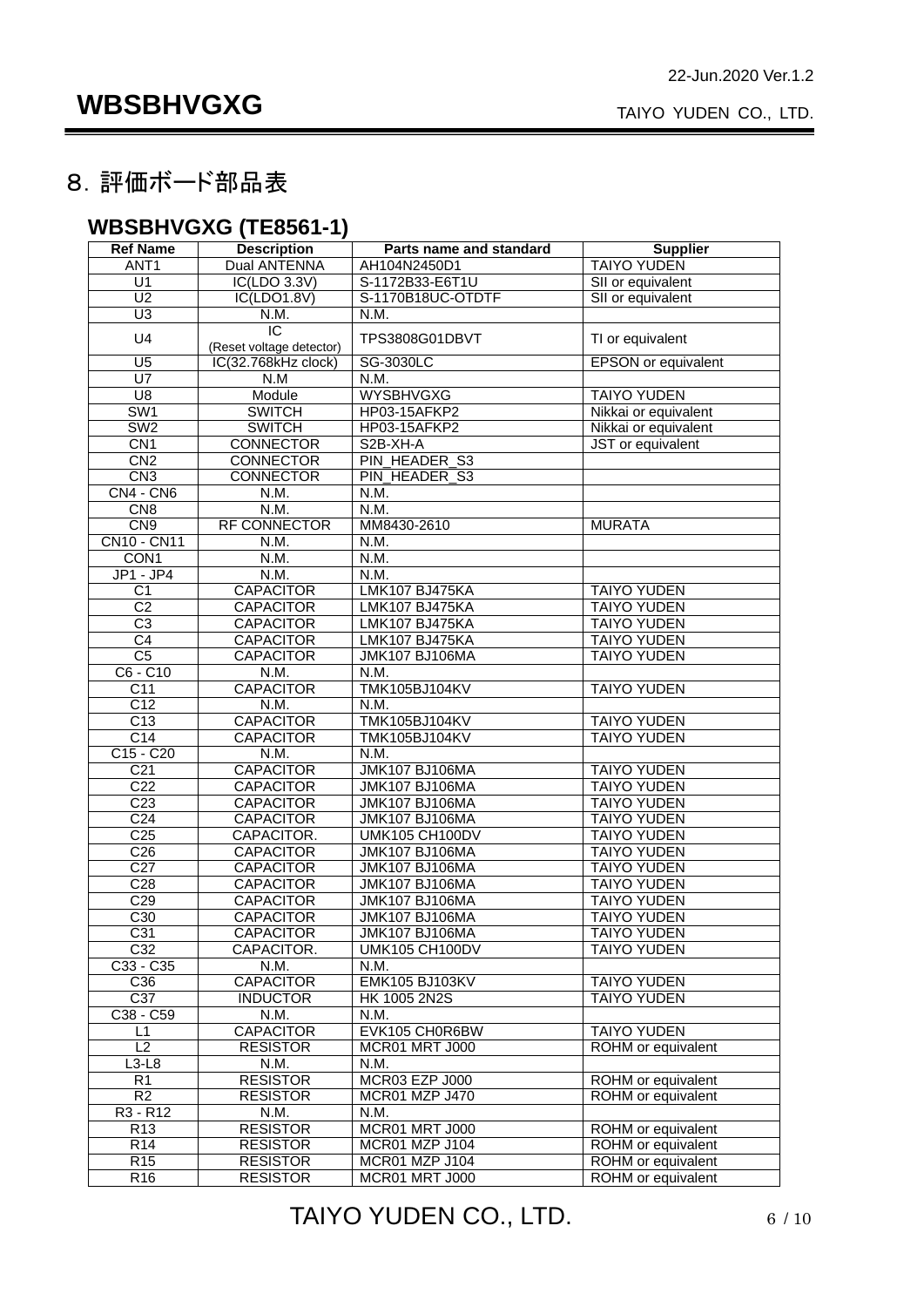#### 8.評価ボード部品表

#### **WBSBHVGXG (TE8561-1)**

| <b>Ref Name</b>    | <b>Description</b>       | Parts name and standard | <b>Supplier</b>            |
|--------------------|--------------------------|-------------------------|----------------------------|
| ANT <sub>1</sub>   | <b>Dual ANTENNA</b>      | AH104N2450D1            | <b>TAIYO YUDEN</b>         |
| U <sub>1</sub>     | IC(LDO 3.3V)             | S-1172B33-E6T1U         | SII or equivalent          |
| U <sub>2</sub>     | IC(LDO1.8V)              | S-1170B18UC-OTDTF       | SII or equivalent          |
| U3                 | N.M.                     | N.M.                    |                            |
|                    | $\overline{IC}$          |                         |                            |
| U4                 | (Reset voltage detector) | TPS3808G01DBVT          | TI or equivalent           |
| $\overline{U5}$    | IC(32.768kHz clock)      | SG-3030LC               | <b>EPSON</b> or equivalent |
| $\overline{U7}$    | N.M                      | N.M.                    |                            |
| $\overline{U8}$    | Module                   | <b>WYSBHVGXG</b>        | <b>TAIYO YUDEN</b>         |
| SW <sub>1</sub>    | <b>SWITCH</b>            | HP03-15AFKP2            | Nikkai or equivalent       |
| SW2                | <b>SWITCH</b>            | HP03-15AFKP2            | Nikkai or equivalent       |
| CN1                | <b>CONNECTOR</b>         | S2B-XH-A                | JST or equivalent          |
| CN <sub>2</sub>    | <b>CONNECTOR</b>         | PIN_HEADER_S3           |                            |
| CN3                | <b>CONNECTOR</b>         | PIN_HEADER_S3           |                            |
| $CN4 - CN6$        | N.M.                     | N.M.                    |                            |
| CN <sub>8</sub>    | N.M.                     | N.M.                    |                            |
| CN9                | <b>RF CONNECTOR</b>      | MM8430-2610             | <b>MURATA</b>              |
| <b>CN10 - CN11</b> | N.M.                     | N.M.                    |                            |
| CON <sub>1</sub>   | N.M.                     | N.M.                    |                            |
| $JP1 - JP4$        | N.M.                     | N.M.                    |                            |
| C <sub>1</sub>     | <b>CAPACITOR</b>         | LMK107 BJ475KA          | <b>TAIYO YUDEN</b>         |
| C <sub>2</sub>     | <b>CAPACITOR</b>         | LMK107 BJ475KA          | <b>TAIYO YUDEN</b>         |
| $\overline{C3}$    | <b>CAPACITOR</b>         | LMK107 BJ475KA          | <b>TAIYO YUDEN</b>         |
| C4                 | <b>CAPACITOR</b>         | LMK107 BJ475KA          | <b>TAIYO YUDEN</b>         |
| C <sub>5</sub>     | <b>CAPACITOR</b>         | <b>JMK107 BJ106MA</b>   | <b>TAIYO YUDEN</b>         |
| $C6 - C10$         | N.M.                     | N.M.                    |                            |
| $\overline{C11}$   | <b>CAPACITOR</b>         | <b>TMK105BJ104KV</b>    | <b>TAIYO YUDEN</b>         |
| C <sub>12</sub>    | N.M.                     | N.M.                    |                            |
| C <sub>13</sub>    | <b>CAPACITOR</b>         | <b>TMK105BJ104KV</b>    | <b>TAIYO YUDEN</b>         |
| C <sub>14</sub>    | <b>CAPACITOR</b>         | <b>TMK105BJ104KV</b>    | <b>TAIYO YUDEN</b>         |
| $C15 - C20$        | N.M.                     | N.M.                    |                            |
| C <sub>21</sub>    | <b>CAPACITOR</b>         | <b>JMK107 BJ106MA</b>   | <b>TAIYO YUDEN</b>         |
| C <sub>22</sub>    | <b>CAPACITOR</b>         | <b>JMK107 BJ106MA</b>   | <b>TAIYO YUDEN</b>         |
| C <sub>23</sub>    | <b>CAPACITOR</b>         | <b>JMK107 BJ106MA</b>   | <b>TAIYO YUDEN</b>         |
| C <sub>24</sub>    | <b>CAPACITOR</b>         | <b>JMK107 BJ106MA</b>   | <b>TAIYO YUDEN</b>         |
| C <sub>25</sub>    | CAPACITOR.               | UMK105 CH100DV          | <b>TAIYO YUDEN</b>         |
| C <sub>26</sub>    | <b>CAPACITOR</b>         | JMK107 BJ106MA          | <b>TAIYO YUDEN</b>         |
| C <sub>27</sub>    | <b>CAPACITOR</b>         | <b>JMK107 BJ106MA</b>   | <b>TAIYO YUDEN</b>         |
| C <sub>28</sub>    | <b>CAPACITOR</b>         | <b>JMK107 BJ106MA</b>   | <b>TAIYO YUDEN</b>         |
| C <sub>29</sub>    | <b>CAPACITOR</b>         | <b>JMK107 BJ106MA</b>   | <b>TAIYO YUDEN</b>         |
| C30                | <b>CAPACITOR</b>         | <b>JMK107 BJ106MA</b>   | <b>TAIYO YUDEN</b>         |
| C31                | <b>CAPACITOR</b>         | <b>JMK107 BJ106MA</b>   | <b>TAIYO YUDEN</b>         |
| C <sub>32</sub>    | CAPACITOR.               | UMK105 CH100DV          | <b>TAIYO YUDEN</b>         |
| C33 - C35          | N.M.                     | N.M.                    |                            |
| C36                | <b>CAPACITOR</b>         | <b>EMK105 BJ103KV</b>   | <b>TAIYO YUDEN</b>         |
| $\overline{C37}$   | <b>INDUCTOR</b>          | HK 1005 2N2S            | <b>TAIYO YUDEN</b>         |
| C38 - C59          | N.M.                     | N.M.                    |                            |
| L1                 | <b>CAPACITOR</b>         | EVK105 CH0R6BW          | <b>TAIYO YUDEN</b>         |
| L2                 | <b>RESISTOR</b>          | <b>MCR01 MRT J000</b>   | ROHM or equivalent         |
| $L3-L8$            | N.M.                     | N.M.                    |                            |
| R <sub>1</sub>     | <b>RESISTOR</b>          | MCR03 EZP J000          | ROHM or equivalent         |
| R <sub>2</sub>     | <b>RESISTOR</b>          | MCR01 MZP J470          | ROHM or equivalent         |
| $R3 - R12$         | N.M.                     | N.M.                    |                            |
| R <sub>13</sub>    | <b>RESISTOR</b>          | MCR01 MRT J000          | ROHM or equivalent         |
| R14                | <b>RESISTOR</b>          | MCR01 MZP J104          | ROHM or equivalent         |
| R <sub>15</sub>    | <b>RESISTOR</b>          | MCR01 MZP J104          | ROHM or equivalent         |
| R16                | <b>RESISTOR</b>          | MCR01 MRT J000          | ROHM or equivalent         |

TAIYO YUDEN CO., LTD. 6/10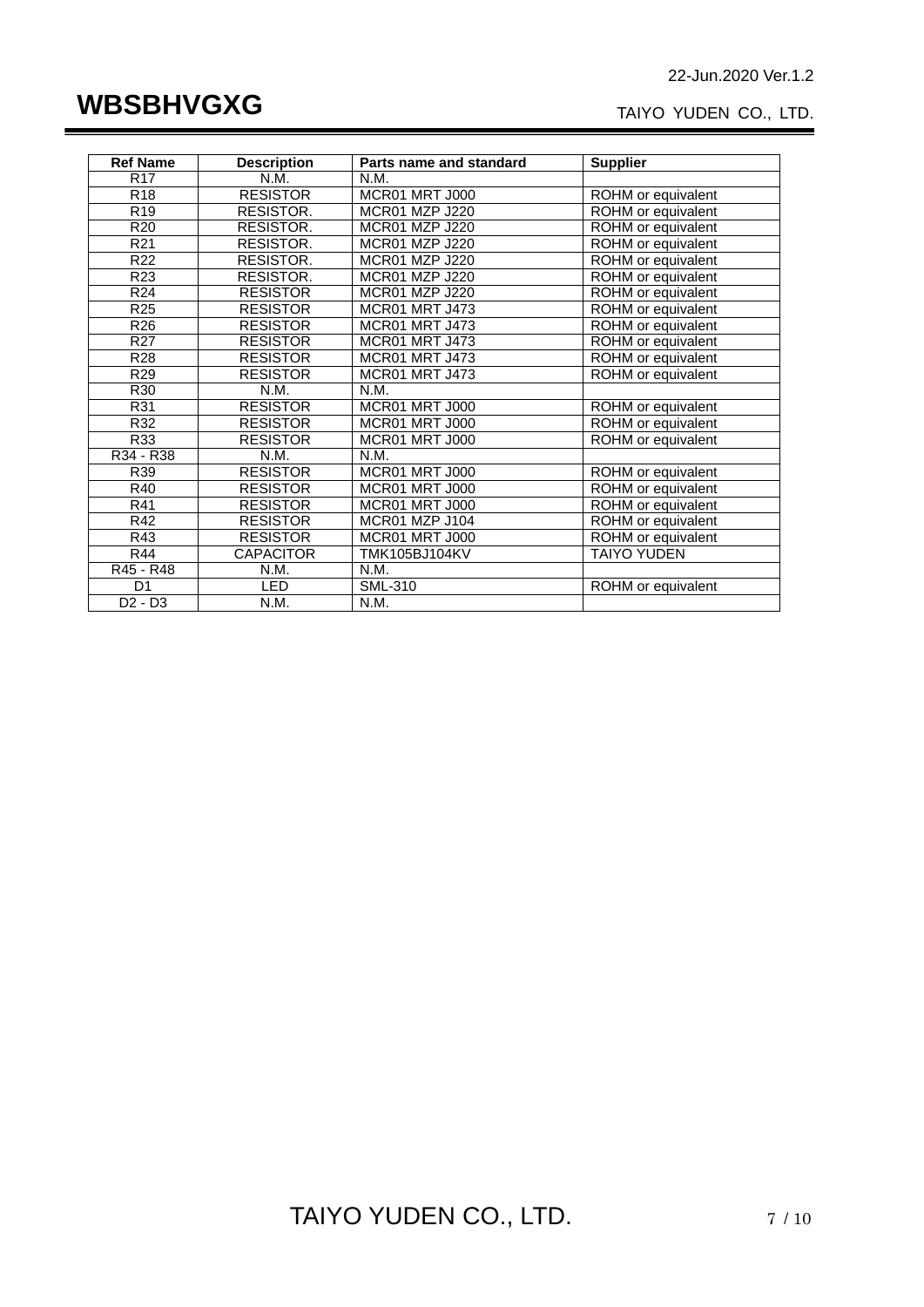## **WBSBHVGXG**

#### TAIYO YUDEN CO., LTD.

| <b>Ref Name</b> | <b>Description</b> | Parts name and standard | <b>Supplier</b>    |
|-----------------|--------------------|-------------------------|--------------------|
| <b>R17</b>      | N.M.               | N.M.                    |                    |
| R <sub>18</sub> | <b>RESISTOR</b>    | MCR01 MRT J000          | ROHM or equivalent |
| R <sub>19</sub> | RESISTOR.          | MCR01 MZP J220          | ROHM or equivalent |
| R <sub>20</sub> | RESISTOR.          | MCR01 MZP J220          | ROHM or equivalent |
| R <sub>21</sub> | RESISTOR.          | MCR01 MZP J220          | ROHM or equivalent |
| R <sub>22</sub> | RESISTOR.          | MCR01 MZP J220          | ROHM or equivalent |
| R <sub>23</sub> | RESISTOR.          | MCR01 MZP J220          | ROHM or equivalent |
| R <sub>24</sub> | <b>RESISTOR</b>    | MCR01 MZP J220          | ROHM or equivalent |
| R <sub>25</sub> | <b>RESISTOR</b>    | <b>MCR01 MRT J473</b>   | ROHM or equivalent |
| R <sub>26</sub> | <b>RESISTOR</b>    | MCR01 MRT J473          | ROHM or equivalent |
| R <sub>27</sub> | <b>RESISTOR</b>    | MCR01 MRT J473          | ROHM or equivalent |
| R <sub>28</sub> | <b>RESISTOR</b>    | MCR01 MRT J473          | ROHM or equivalent |
| R <sub>29</sub> | <b>RESISTOR</b>    | MCR01 MRT J473          | ROHM or equivalent |
| R30             | N.M.               | N.M.                    |                    |
| R31             | <b>RESISTOR</b>    | MCR01 MRT J000          | ROHM or equivalent |
| R32             | <b>RESISTOR</b>    | MCR01 MRT J000          | ROHM or equivalent |
| R33             | <b>RESISTOR</b>    | MCR01 MRT J000          | ROHM or equivalent |
| $R34 - R38$     | N.M.               | N.M.                    |                    |
| R39             | <b>RESISTOR</b>    | <b>MCR01 MRT J000</b>   | ROHM or equivalent |
| R40             | <b>RESISTOR</b>    | MCR01 MRT J000          | ROHM or equivalent |
| R41             | <b>RESISTOR</b>    | MCR01 MRT J000          | ROHM or equivalent |
| R42             | <b>RESISTOR</b>    | MCR01 MZP J104          | ROHM or equivalent |
| R43             | <b>RESISTOR</b>    | MCR01 MRT J000          | ROHM or equivalent |
| R44             | <b>CAPACITOR</b>   | TMK105BJ104KV           | <b>TAIYO YUDEN</b> |
| R45 - R48       | N.M.               | N.M.                    |                    |
| D1              | <b>LED</b>         | <b>SML-310</b>          | ROHM or equivalent |
| $D2 - D3$       | N.M.               | N.M.                    |                    |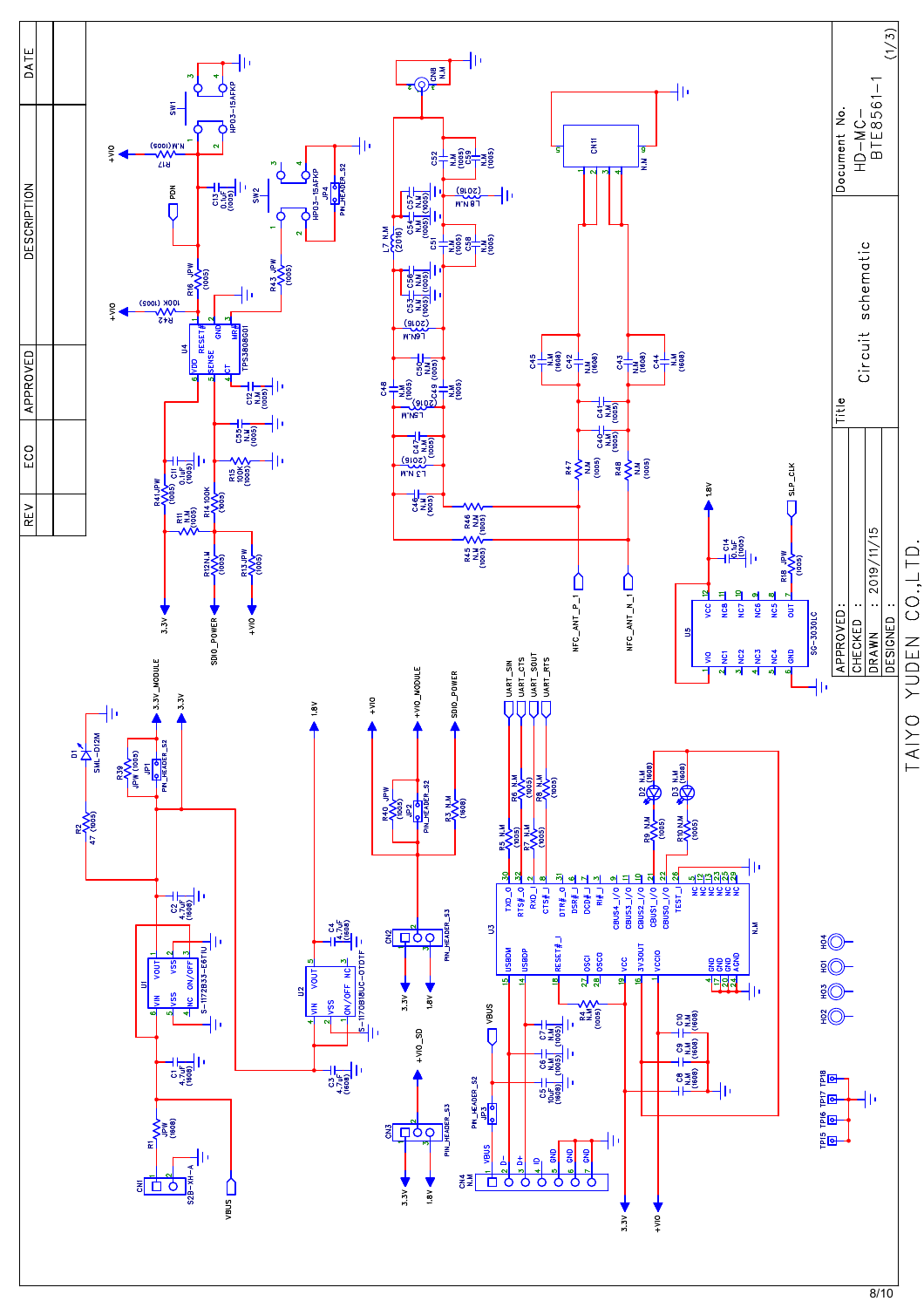

 $8/10$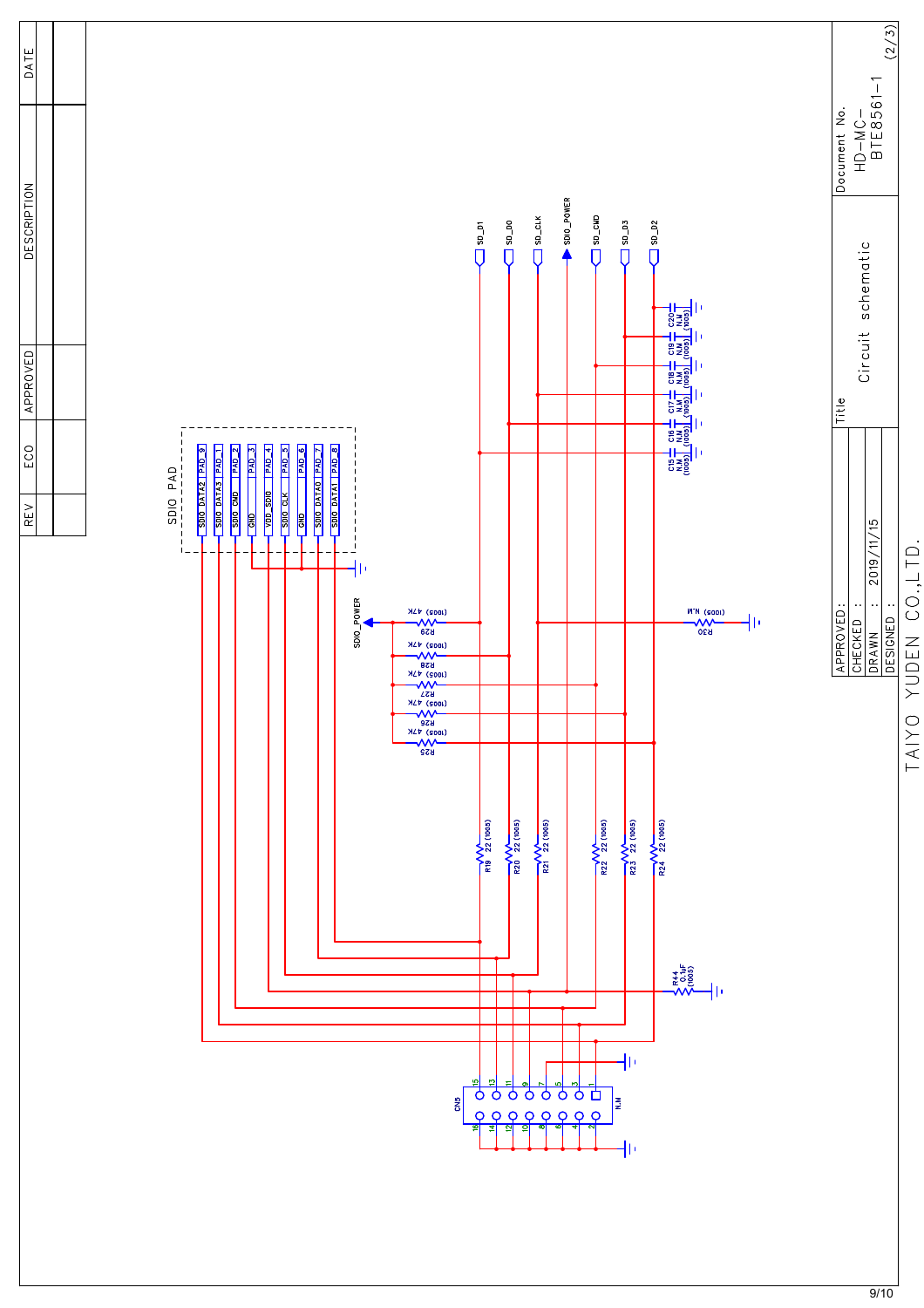